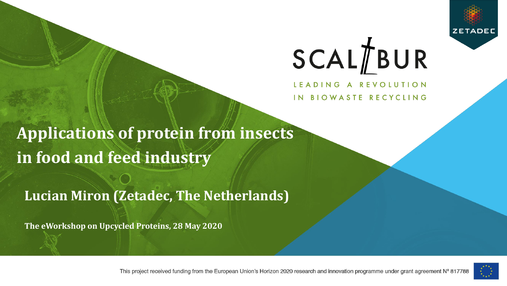

LEADING A REVOLUTION IN BIOWASTE RECYCLING

**Applications of protein from insects in food and feed industry** 

### **Lucian Miron (Zetadec, The Netherlands)**

**The eWorkshop on Upcycled Proteins, 28 May 2020**



This project received funding from the European Union's Horizon 2020 research and innovation programme under grant agreement N° 817788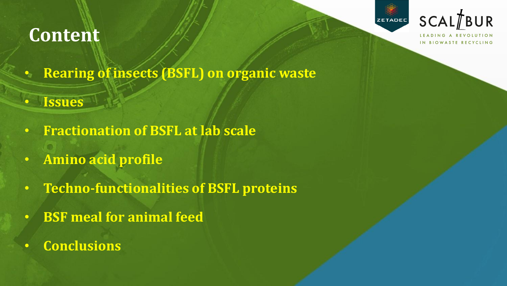## **Content**



IN BIOWASTE RECYCLING

- **Rearing of insects (BSFL) on organic waste**
- **Issues**
- **Fractionation of BSFL at lab scale**
- **Amino acid profile**
- **Techno-functionalities of BSFL proteins**
- **BSF meal for animal feed**
- **Conclusions**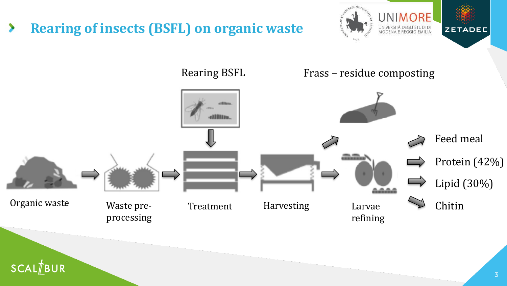**Rearing of insects (BSFL) on organic waste** ⋟

SCALTBUR



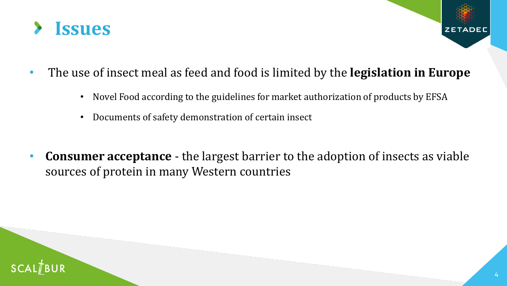

- The use of insect meal as feed and food is limited by the **legislation in Europe**
	- Novel Food according to the guidelines for market authorization of products by EFSA
	- Documents of safety demonstration of certain insect
- **Consumer acceptance**  the largest barrier to the adoption of insects as viable sources of protein in many Western countries

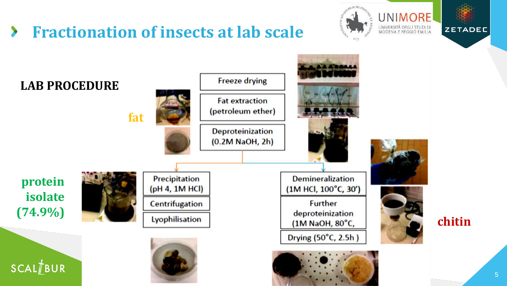### **Fractionation of insects at lab scale**  $\blacktriangleright$



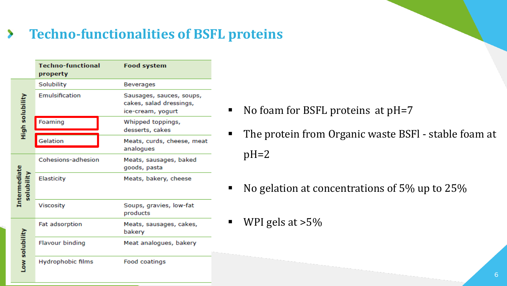### **Techno-functionalities of BSFL proteins** ⋗

|                                   | <b>Techno-functional</b><br>property | <b>Food system</b>                                                       |
|-----------------------------------|--------------------------------------|--------------------------------------------------------------------------|
| High solubility                   | Solubility                           | <b>Beverages</b>                                                         |
|                                   | Emulsification                       | Sausages, sauces, soups,<br>cakes, salad dressings,<br>ice-cream, yogurt |
|                                   | Foaming                              | Whipped toppings,<br>desserts, cakes                                     |
|                                   | Gelation                             | Meats, curds, cheese, meat<br>analogues                                  |
| <b>Intermediate</b><br>solubility | Cohesions-adhesion                   | Meats, sausages, baked<br>goods, pasta                                   |
|                                   | Elasticity                           | Meats, bakery, cheese                                                    |
|                                   | Viscosity                            | Soups, gravies, low-fat<br>products                                      |
| ow solubility                     | <b>Fat adsorption</b>                | Meats, sausages, cakes,<br>bakery                                        |
|                                   | Flavour binding                      | Meat analogues, bakery                                                   |
|                                   | Hydrophobic films                    | Food coatings                                                            |

- No foam for BSFL proteins at pH=7
- The protein from Organic waste BSFI stable foam at  $pH=2$
- No gelation at concentrations of 5% up to 25%
- $\blacksquare$  WPI gels at  $>5\%$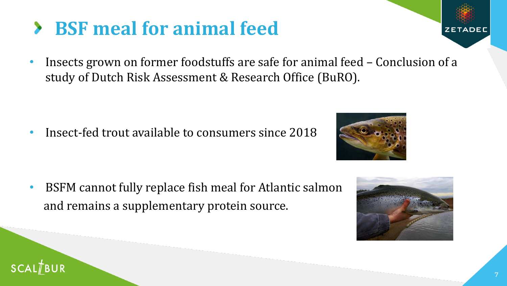• Insect-fed trout available to consumers since 2018

• BSFM cannot fully replace fish meal for Atlantic salmon and remains a supplementary protein source.



**ZETADE** 

## **BSF meal for animal feed**

• Insects grown on former foodstuffs are safe for animal feed – Conclusion of a study of Dutch Risk Assessment & Research Office (BuRO).

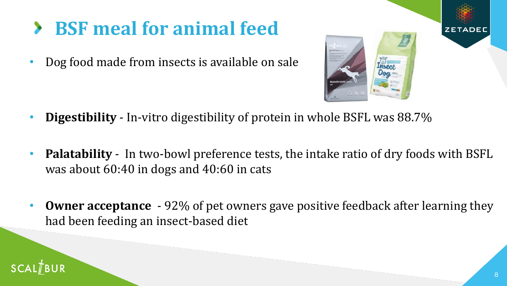# **BSF meal for animal feed**

• Dog food made from insects is available on sale



- **Digestibility**  In-vitro digestibility of protein in whole BSFL was 88.7%
- **Palatability**  In two-bowl preference tests, the intake ratio of dry foods with BSFL was about 60:40 in dogs and 40:60 in cats
- **Owner acceptance**  92% of pet owners gave positive feedback after learning they had been feeding an insect-based diet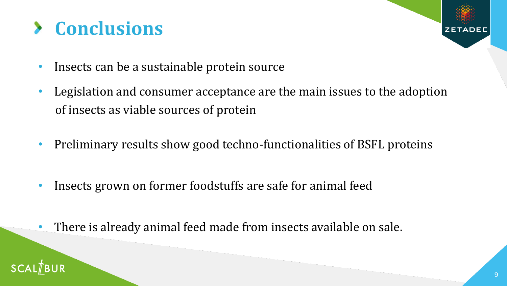# **Conclusions**

- Insects can be a sustainable protein source
- Legislation and consumer acceptance are the main issues to the adoption of insects as viable sources of protein
- Preliminary results show good techno-functionalities of BSFL proteins
- Insects grown on former foodstuffs are safe for animal feed
- There is already animal feed made from insects available on sale.